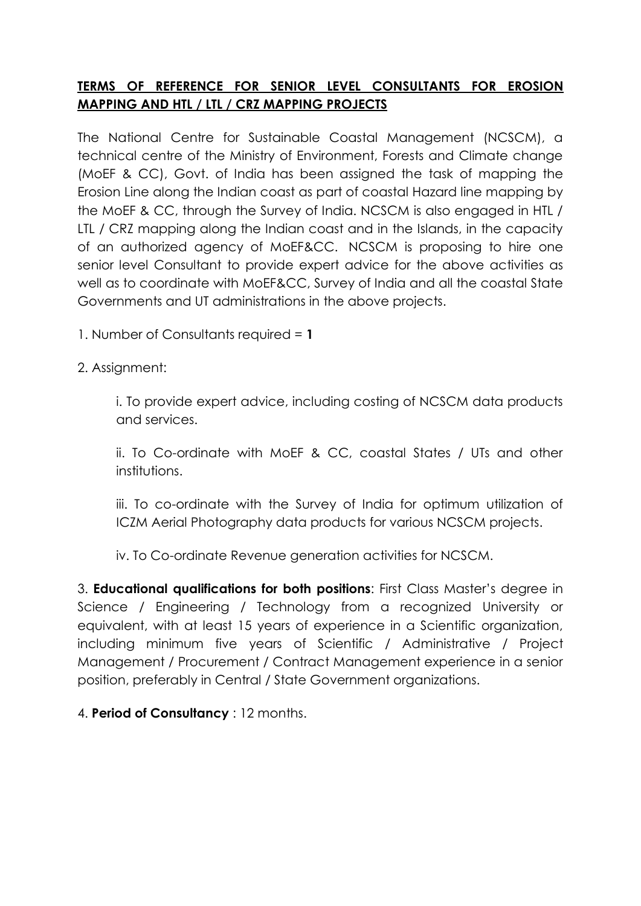## **TERMS OF REFERENCE FOR SENIOR LEVEL CONSULTANTS FOR EROSION MAPPING AND HTL / LTL / CRZ MAPPING PROJECTS**

The National Centre for Sustainable Coastal Management (NCSCM), a technical centre of the Ministry of Environment, Forests and Climate change (MoEF & CC), Govt. of India has been assigned the task of mapping the Erosion Line along the Indian coast as part of coastal Hazard line mapping by the MoEF & CC, through the Survey of India. NCSCM is also engaged in HTL / LTL / CRZ mapping along the Indian coast and in the Islands, in the capacity of an authorized agency of MoEF&CC. NCSCM is proposing to hire one senior level Consultant to provide expert advice for the above activities as well as to coordinate with MoEF&CC, Survey of India and all the coastal State Governments and UT administrations in the above projects.

1. Number of Consultants required = **1**

2. Assignment:

i. To provide expert advice, including costing of NCSCM data products and services.

ii. To Co-ordinate with MoEF & CC, coastal States / UTs and other institutions.

iii. To co-ordinate with the Survey of India for optimum utilization of ICZM Aerial Photography data products for various NCSCM projects.

iv. To Co-ordinate Revenue generation activities for NCSCM.

3. **Educational qualifications for both positions**: First Class Master's degree in Science / Engineering / Technology from a recognized University or equivalent, with at least 15 years of experience in a Scientific organization, including minimum five years of Scientific / Administrative / Project Management / Procurement / Contract Management experience in a senior position, preferably in Central / State Government organizations.

4. **Period of Consultancy** : 12 months.